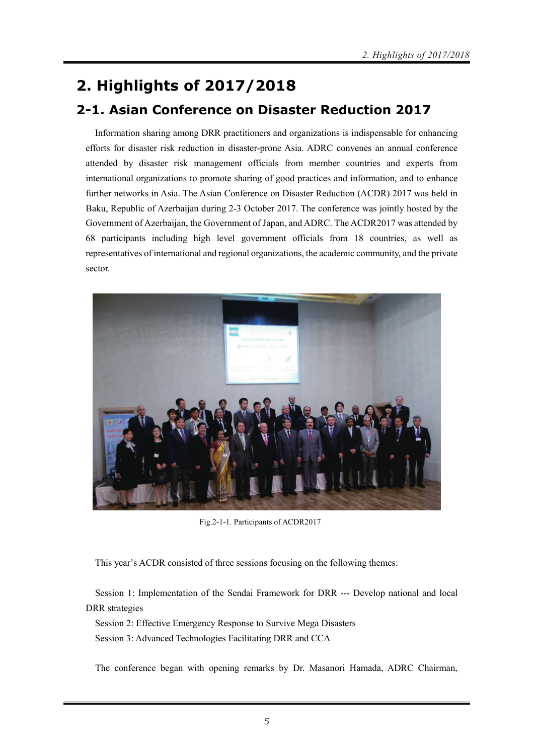## **2. Highlights of 2017/2018**

## **2-1. Asian Conference on Disaster Reduction 2017**

Information sharing among DRR practitioners and organizations is indispensable for enhancing efforts for disaster risk reduction in disaster-prone Asia. ADRC convenes an annual conference attended by disaster risk management officials from member countries and experts from international organizations to promote sharing of good practices and information, and to enhance further networks in Asia. The Asian Conference on Disaster Reduction (ACDR) 2017 was held in Baku, Republic of Azerbaijan during 2-3 October 2017. The conference was jointly hosted by the Government of Azerbaijan, the Government of Japan, and ADRC. The ACDR2017 was attended by 68 participants including high level government officials from 18 countries, as well as representatives of international and regional organizations, the academic community, and the private sector.



Fig.2-1-1. Participants of ACDR2017

This year's ACDR consisted of three sessions focusing on the following themes:

Session 1: Implementation of the Sendai Framework for DRR --- Develop national and local DRR strategies

Session 2: Effective Emergency Response to Survive Mega Disasters Session 3: Advanced Technologies Facilitating DRR and CCA

The conference began with opening remarks by Dr. Masanori Hamada, ADRC Chairman,